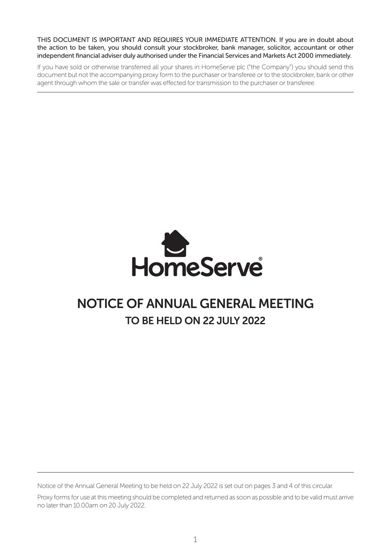THIS DOCUMENT IS IMPORTANT AND REQUIRES YOUR IMMEDIATE ATTENTION. If you are in doubt about the action to be taken, you should consult your stockbroker, bank manager, solicitor, accountant or other independent financial adviser duly authorised under the Financial Services and Markets Act 2000 immediately.

If you have sold or otherwise transferred all your shares in HomeServe plc ("the Company") you should send this document but not the accompanying proxy form to the purchaser or transferee or to the stockbroker, bank or other agent through whom the sale or transfer was effected for transmission to the purchaser or transferee.



# NOTICE OF ANNUAL GENERAL MEETING TO BE HELD ON 22 JULY 2022

Notice of the Annual General Meeting to be held on 22 July 2022 is set out on pages 3 and 4 of this circular.

Proxy forms for use at this meeting should be completed and returned as soon as possible and to be valid must arrive no later than 10.00am on 20 July 2022.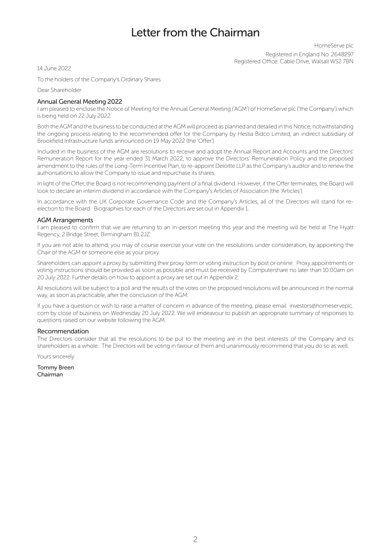## Letter from the Chairman

HomeServe plc Registered in England No: 2648297 Registered Office: Cable Drive, Walsall WS2 7BN

14 June 2022

To the holders of the Company's Ordinary Shares

Dear Shareholder

## Annual General Meeting 2022

I am pleased to enclose the Notice of Meeting for the Annual General Meeting ('AGM') of HomeServe plc ('the Company') which is being held on 22 July 2022.

Both the AGM and the business to be conducted at the AGM will proceed as planned and detailed in this Notice, notwithstanding the ongoing process relating to the recommended offer for the Company by Hestia Bidco Limited, an indirect subsidiary of Brookfield Infrastructure funds announced on 19 May 2022 (the 'Offer').

Included in the business of the AGM are resolutions to receive and adopt the Annual Report and Accounts and the Directors' Remuneration Report for the year ended 31 March 2022, to approve the Directors' Remuneration Policy and the proposed amendment to the rules of the Long-Term Incentive Plan, to re-appoint Deloitte LLP as the Company's auditor and to renew the authorisations to allow the Company to issue and repurchase its shares.

In light of the Offer, the Board is not recommending payment of a final dividend. However, if the Offer terminates, the Board will look to declare an interim dividend in accordance with the Company's Articles of Association (the 'Articles').

In accordance with the UK Corporate Governance Code and the Company's Articles, all of the Directors will stand for reelection to the Board. Biographies for each of the Directors are set out in Appendix 1.

#### AGM Arrangements

I am pleased to confirm that we are returning to an in-person meeting this year and the meeting will be held at The Hyatt Regency, 2 Bridge Street, Birmingham B1 2JZ.

If you are not able to attend, you may of course exercise your vote on the resolutions under consideration, by appointing the Chair of the AGM or someone else as your proxy.

Shareholders can appoint a proxy by submitting their proxy form or voting instruction by post or online. Proxy appointments or voting instructions should be provided as soon as possible and must be received by Computershare no later than 10.00am on 20 July 2022. Further details on how to appoint a proxy are set out in Appendix 2.

All resolutions will be subject to a poll and the results of the votes on the proposed resolutions will be announced in the normal way, as soon as practicable, after the conclusion of the AGM.

If you have a question or wish to raise a matter of concern in advance of the meeting, please email investors@homeserveplc. com by close of business on Wednesday 20 July 2022. We will endeavour to publish an appropriate summary of responses to questions raised on our website following the AGM.

#### Recommendation

The Directors consider that all the resolutions to be put to the meeting are in the best interests of the Company and its shareholders as a whole. The Directors will be voting in favour of them and unanimously recommend that you do so as well.

Yours sincerely

Tommy Breen Chairman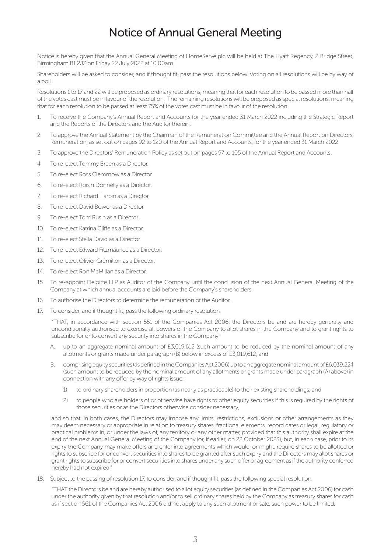## Notice of Annual General Meeting

Notice is hereby given that the Annual General Meeting of HomeServe plc will be held at The Hyatt Regency, 2 Bridge Street, Birmingham B1 2JZ on Friday 22 July 2022 at 10.00am.

Shareholders will be asked to consider, and if thought fit, pass the resolutions below. Voting on all resolutions will be by way of a poll.

Resolutions 1 to 17 and 22 will be proposed as ordinary resolutions, meaning that for each resolution to be passed more than half of the votes cast must be in favour of the resolution. The remaining resolutions will be proposed as special resolutions, meaning that for each resolution to be passed at least 75% of the votes cast must be in favour of the resolution.

- 1. To receive the Company's Annual Report and Accounts for the year ended 31 March 2022 including the Strategic Report and the Reports of the Directors and the Auditor therein.
- 2. To approve the Annual Statement by the Chairman of the Remuneration Committee and the Annual Report on Directors' Remuneration, as set out on pages 92 to 120 of the Annual Report and Accounts, for the year ended 31 March 2022.
- 3. To approve the Directors' Remuneration Policy as set out on pages 97 to 105 of the Annual Report and Accounts.
- 4. To re-elect Tommy Breen as a Director.
- 5. To re-elect Ross Clemmow as a Director.
- 6. To re-elect Roisin Donnelly as a Director.
- 7. To re-elect Richard Harpin as a Director.
- 8. To re-elect David Bower as a Director.
- 9. To re-elect Tom Rusin as a Director.
- 10. To re-elect Katrina Cliffe as a Director.
- 11. To re-elect Stella David as a Director.
- 12. To re-elect Edward Fitzmaurice as a Director.
- 13. To re-elect Olivier Grémillon as a Director.
- 14. To re-elect Ron McMillan as a Director.
- 15. To re-appoint Deloitte LLP as Auditor of the Company until the conclusion of the next Annual General Meeting of the Company at which annual accounts are laid before the Company's shareholders.
- 16. To authorise the Directors to determine the remuneration of the Auditor.
- 17. To consider, and if thought fit, pass the following ordinary resolution:

"THAT, in accordance with section 551 of the Companies Act 2006, the Directors be and are hereby generally and unconditionally authorised to exercise all powers of the Company to allot shares in the Company and to grant rights to subscribe for or to convert any security into shares in the Company:

- A. up to an aggregate nominal amount of £3,019,612 (such amount to be reduced by the nominal amount of any allotments or grants made under paragraph (B) below in excess of £3,019,612; and
- B. comprising equity securities (as defined in the Companies Act 2006) up to an aggregate nominal amount of £6,039,224 (such amount to be reduced by the nominal amount of any allotments or grants made under paragraph (A) above) in connection with any offer by way of rights issue:
	- 1) to ordinary shareholders in proportion (as nearly as practicable) to their existing shareholdings; and
	- 2) to people who are holders of or otherwise have rights to other equity securities if this is required by the rights of those securities or as the Directors otherwise consider necessary,

and so that, in both cases, the Directors may impose any limits, restrictions, exclusions or other arrangements as they may deem necessary or appropriate in relation to treasury shares, fractional elements, record dates or legal, regulatory or practical problems in, or under the laws of, any territory or any other matter, provided that this authority shall expire at the end of the next Annual General Meeting of the Company (or, if earlier, on 22 October 2023), but, in each case, prior to its expiry the Company may make offers and enter into agreements which would, or might, require shares to be allotted or rights to subscribe for or convert securities into shares to be granted after such expiry and the Directors may allot shares or grant rights to subscribe for or convert securities into shares under any such offer or agreement as if the authority conferred hereby had not expired."

18. Subject to the passing of resolution 17, to consider, and if thought fit, pass the following special resolution:

"THAT the Directors be and are hereby authorised to allot equity securities (as defined in the Companies Act 2006) for cash under the authority given by that resolution and/or to sell ordinary shares held by the Company as treasury shares for cash as if section 561 of the Companies Act 2006 did not apply to any such allotment or sale, such power to be limited: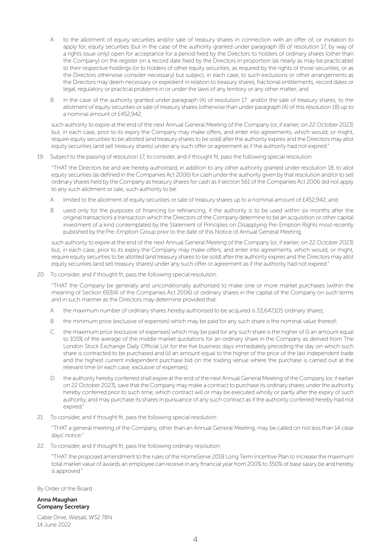- A. to the allotment of equity securities and/or sale of treasury shares in connection with an offer of, or invitation to apply for, equity securities (but in the case of the authority granted under paragraph (B) of resolution 17, by way of a rights issue only) open for acceptance for a period fixed by the Directors to holders of ordinary shares (other than the Company) on the register on a record date fixed by the Directors in proportion (as nearly as may be practicable) to their respective holdings (or to holders of other equity securities, as required by the rights of those securities, or as the Directors otherwise consider necessary) but subject, in each case, to such exclusions or other arrangements as the Directors may deem necessary or expedient in relation to treasury shares, fractional entitlements, record dates or legal, regulatory or practical problems in or under the laws of any territory or any other matter; and
- B. in the case of the authority granted under paragraph (A) of resolution 17 and/or the sale of treasury shares, to the allotment of equity securities or sale of treasury shares (otherwise than under paragraph (A) of this resolution 18) up to a nominal amount of £452,942

such authority to expire at the end of the next Annual General Meeting of the Company (or, if earlier, on 22 October 2023) but, in each case, prior to its expiry the Company may make offers, and enter into agreements, which would, or might, require equity securities to be allotted (and treasury shares to be sold) after the authority expires and the Directors may allot equity securities (and sell treasury shares) under any such offer or agreement as if the authority had not expired."

19. Subject to the passing of resolution 17, to consider, and if thought fit, pass the following special resolution:

"THAT the Directors be and are hereby authorised, in addition to any other authority granted under resolution 18, to allot equity securities (as defined in the Companies Act 2006) for cash under the authority given by that resolution and/or to sell ordinary shares held by the Company as treasury shares for cash as if section 561 of the Companies Act 2006 did not apply to any such allotment or sale, such authority to be:

- A. limited to the allotment of equity securities or sale of treasury shares up to a nominal amount of £452,942; and
- B. used only for the purposes of financing (or refinancing, if the authority is to be used within six months after the original transaction) a transaction which the Directors of the Company determine to be an acquisition or other capital investment of a kind contemplated by the Statement of Principles on Disapplying Pre-Emption Rights most recently published by the Pre-Emption Group prior to the date of this Notice of Annual General Meeting,

such authority to expire at the end of the next Annual General Meeting of the Company (or, if earlier, on 22 October 2023) but, in each case, prior to its expiry the Company may make offers, and enter into agreements, which would, or might, require equity securities to be allotted (and treasury shares to be sold) after the authority expires and the Directors may allot equity securities (and sell treasury shares) under any such offer or agreement as if the authority had not expired."

20. To consider, and if thought fit, pass the following special resolution:

"THAT the Company be generally and unconditionally authorised to make one or more market purchases (within the meaning of Section 693(4) of the Companies Act 2006) of ordinary shares in the capital of the Company on such terms and in such manner as the Directors may determine provided that:

- A. the maximum number of ordinary shares hereby authorised to be acquired is 33,647,105 ordinary shares;
- B. the minimum price (exclusive of expenses) which may be paid for any such share is the nominal value thereof;
- C. the maximum price (exclusive of expenses) which may be paid for any such share is the higher of (i) an amount equal to 105% of the average of the middle market quotations for an ordinary share in the Company as derived from The London Stock Exchange Daily Official List for the five business days immediately preceding the day on which such share is contracted to be purchased and (ii) an amount equal to the higher of the price of the last independent trade and the highest current independent purchase bid on the trading venue where the purchase is carried out at the relevant time (in each case, exclusive of expenses);
- D. the authority hereby conferred shall expire at the end of the next Annual General Meeting of the Company (or, if earlier on 22 October 2023), save that the Company may make a contract to purchase its ordinary shares under the authority hereby conferred prior to such time, which contract will or may be executed wholly or partly after the expiry of such authority, and may purchase its shares in pursuance of any such contract as if the authority conferred hereby had not expired."
- 21. To consider, and if thought fit, pass the following special resolution:

"THAT a general meeting of the Company, other than an Annual General Meeting, may be called on not less than 14 clear days' notice."

22. To consider, and if thought fit, pass the following ordinary resolution:

"THAT the proposed amendment to the rules of the HomeServe 2018 Long Term Incentive Plan to increase the maximum total market value of awards an employee can receive in any financial year from 200% to 350% of base salary be and hereby is approved."

By Order of the Board

## Anna Maughan Company Secretary

Cable Drive, Walsall, WS2 7BN 14 June 2022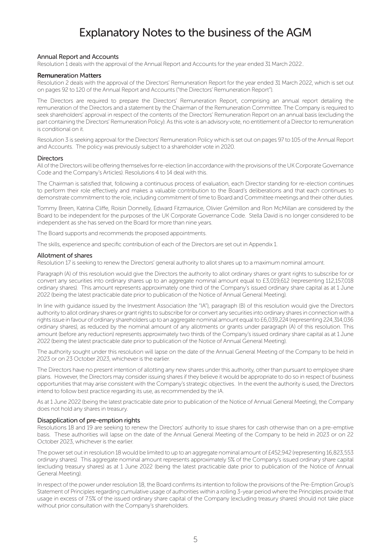## Explanatory Notes to the business of the AGM

## Annual Report and Accounts

Resolution 1 deals with the approval of the Annual Report and Accounts for the year ended 31 March 2022..

## Remuneration Matters

Resolution 2 deals with the approval of the Directors' Remuneration Report for the year ended 31 March 2022, which is set out on pages 92 to 120 of the Annual Report and Accounts ("the Directors' Remuneration Report").

The Directors are required to prepare the Directors' Remuneration Report, comprising an annual report detailing the remuneration of the Directors and a statement by the Chairman of the Remuneration Committee. The Company is required to seek shareholders' approval in respect of the contents of the Directors' Remuneration Report on an annual basis (excluding the part containing the Directors' Remuneration Policy). As this vote is an advisory vote, no entitlement of a Director to remuneration is conditional on it.

Resolution 3 is seeking approval for the Directors' Remuneration Policy which is set out on pages 97 to 105 of the Annual Report and Accounts. The policy was previously subject to a shareholder vote in 2020.

## **Directors**

All of the Directors will be offering themselves for re-election (in accordance with the provisions of the UK Corporate Governance Code and the Company's Articles). Resolutions 4 to 14 deal with this.

The Chairman is satisfied that, following a continuous process of evaluation, each Director standing for re-election continues to perform their role effectively and makes a valuable contribution to the Board's deliberations and that each continues to demonstrate commitment to the role, including commitment of time to Board and Committee meetings and their other duties.

Tommy Breen, Katrina Cliffe, Roisin Donnelly, Edward Fitzmaurice, Olivier Grémillon and Ron McMillan are considered by the Board to be independent for the purposes of the UK Corporate Governance Code. Stella David is no longer considered to be independent as she has served on the Board for more than nine years.

The Board supports and recommends the proposed appointments.

The skills, experience and specific contribution of each of the Directors are set out in Appendix 1.

## Allotment of shares

Resolution 17 is seeking to renew the Directors' general authority to allot shares up to a maximum nominal amount.

Paragraph (A) of this resolution would give the Directors the authority to allot ordinary shares or grant rights to subscribe for or convert any securities into ordinary shares up to an aggregate nominal amount equal to £3,019,612 (representing 112,157,018 ordinary shares). This amount represents approximately one third of the Company's issued ordinary share capital as at 1 June 2022 (being the latest practicable date prior to publication of the Notice of Annual General Meeting).

In line with guidance issued by the Investment Association (the "IA"), paragraph (B) of this resolution would give the Directors authority to allot ordinary shares or grant rights to subscribe for or convert any securities into ordinary shares in connection with a rights issue in favour of ordinary shareholders up to an aggregate nominal amount equal to £6,039,224 (representing 224,314,036 ordinary shares), as reduced by the nominal amount of any allotments or grants under paragraph (A) of this resolution. This amount (before any reduction) represents approximately two thirds of the Company's issued ordinary share capital as at 1 June 2022 (being the latest practicable date prior to publication of the Notice of Annual General Meeting).

The authority sought under this resolution will lapse on the date of the Annual General Meeting of the Company to be held in 2023 or on 23 October 2023, whichever is the earlier.

The Directors have no present intention of allotting any new shares under this authority, other than pursuant to employee share plans. However, the Directors may consider issuing shares if they believe it would be appropriate to do so in respect of business opportunities that may arise consistent with the Company's strategic objectives. In the event the authority is used, the Directors intend to follow best practice regarding its use, as recommended by the IA.

As at 1 June 2022 (being the latest practicable date prior to publication of the Notice of Annual General Meeting), the Company does not hold any shares in treasury.

## Disapplication of pre-emption rights

Resolutions 18 and 19 are seeking to renew the Directors' authority to issue shares for cash otherwise than on a pre-emptive basis. These authorities will lapse on the date of the Annual General Meeting of the Company to be held in 2023 or on 22 October 2023, whichever is the earlier.

The power set out in resolution 18 would be limited to up to an aggregate nominal amount of £452,942 (representing 16,823,553 ordinary shares). This aggregate nominal amount represents approximately 5% of the Company's issued ordinary share capital (excluding treasury shares) as at 1 June 2022 (being the latest practicable date prior to publication of the Notice of Annual General Meeting).

In respect of the power under resolution 18, the Board confirms its intention to follow the provisions of the Pre-Emption Group's Statement of Principles regarding cumulative usage of authorities within a rolling 3-year period where the Principles provide that usage in excess of 7.5% of the issued ordinary share capital of the Company (excluding treasury shares) should not take place without prior consultation with the Company's shareholders.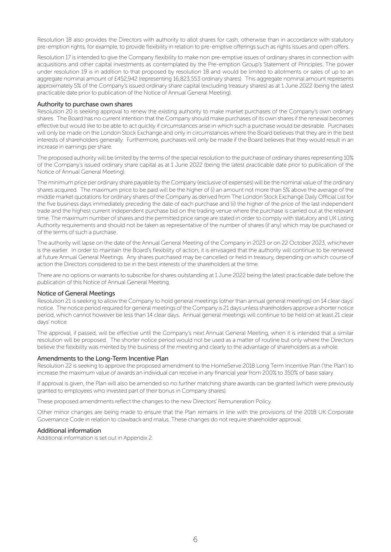Resolution 18 also provides the Directors with authority to allot shares for cash, otherwise than in accordance with statutory pre-emption rights, for example, to provide flexibility in relation to pre-emptive offerings such as rights issues and open offers.

Resolution 17 is intended to give the Company flexibility to make non pre-emptive issues of ordinary shares in connection with acquisitions and other capital investments as contemplated by the Pre-emption Group's Statement of Principles. The power under resolution 19 is in addition to that proposed by resolution 18 and would be limited to allotments or sales of up to an aggregate nominal amount of £452,942 (representing 16,823,553 ordinary shares). This aggregate nominal amount represents approximately 5% of the Company's issued ordinary share capital (excluding treasury shares) as at 1 June 2022 (being the latest practicable date prior to publication of the Notice of Annual General Meeting).

## Authority to purchase own shares

Resolution 20 is seeking approval to renew the existing authority to make market purchases of the Company's own ordinary shares. The Board has no current intention that the Company should make purchases of its own shares if the renewal becomes effective but would like to be able to act quickly if circumstances arise in which such a purchase would be desirable. Purchases will only be made on the London Stock Exchange and only in circumstances where the Board believes that they are in the best interests of shareholders generally. Furthermore, purchases will only be made if the Board believes that they would result in an increase in earnings per share.

The proposed authority will be limited by the terms of the special resolution to the purchase of ordinary shares representing 10% of the Company's issued ordinary share capital as at 1 June 2022 (being the latest practicable date prior to publication of the Notice of Annual General Meeting).

The minimum price per ordinary share payable by the Company (exclusive of expenses) will be the nominal value of the ordinary shares acquired. The maximum price to be paid will be the higher of (i) an amount not more than 5% above the average of the middle market quotations for ordinary shares of the Company as derived from The London Stock Exchange Daily Official List for the five business days immediately preceding the date of each purchase and (ii) the higher of the price of the last independent trade and the highest current independent purchase bid on the trading venue where the purchase is carried out at the relevant time. The maximum number of shares and the permitted price range are stated in order to comply with statutory and UK Listing Authority requirements and should not be taken as representative of the number of shares (if any) which may be purchased or of the terms of such a purchase.

The authority will lapse on the date of the Annual General Meeting of the Company in 2023 or on 22 October 2023, whichever is the earlier. In order to maintain the Board's flexibility of action, it is envisaged that the authority will continue to be renewed at future Annual General Meetings. Any shares purchased may be cancelled or held in treasury, depending on which course of action the Directors considered to be in the best interests of the shareholders at the time.

There are no options or warrants to subscribe for shares outstanding at 1 June 2022 being the latest practicable date before the publication of this Notice of Annual General Meeting.

## Notice of General Meetings

Resolution 21 is seeking to allow the Company to hold general meetings (other than annual general meetings) on 14 clear days' notice. The notice period required for general meetings of the Company is 21 days unless shareholders approve a shorter notice period, which cannot however be less than 14 clear days. Annual general meetings will continue to be held on at least 21 clear days' notice.

The approval, if passed, will be effective until the Company's next Annual General Meeting, when it is intended that a similar resolution will be proposed. The shorter notice period would not be used as a matter of routine but only where the Directors believe the flexibility was merited by the business of the meeting and clearly to the advantage of shareholders as a whole.

#### Amendments to the Long-Term Incentive Plan

Resolution 22 is seeking to approve the proposed amendment to the HomeServe 2018 Long Term Incentive Plan ('the Plan') to increase the maximum value of awards an individual can receive in any financial year from 200% to 350% of base salary.

If approval is given, the Plan will also be amended so no further matching share awards can be granted (which were previously granted to employees who invested part of their bonus in Company shares).

These proposed amendments reflect the changes to the new Directors' Remuneration Policy.

Other minor changes are being made to ensure that the Plan remains in line with the provisions of the 2018 UK Corporate Governance Code in relation to clawback and malus. These changes do not require shareholder approval.

## Additional information

Additional information is set out in Appendix 2.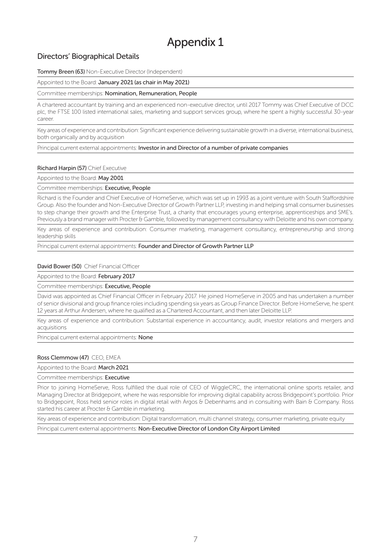## Appendix 1

## Directors' Biographical Details

## Tommy Breen (63) Non-Executive Director (Independent)

## Appointed to the Board: January 2021 (as chair in May 2021)

## Committee memberships: Nomination, Remuneration, People

A chartered accountant by training and an experienced non-executive director, until 2017 Tommy was Chief Executive of DCC plc, the FTSE 100 listed international sales, marketing and support services group, where he spent a highly successful 30-year career.

Key areas of experience and contribution: Significant experience delivering sustainable growth in a diverse, international business, both organically and by acquisition

Principal current external appointments: Investor in and Director of a number of private companies

## Richard Harpin (57) Chief Executive

Appointed to the Board: May 2001

Committee memberships: Executive, People

Richard is the Founder and Chief Executive of HomeServe, which was set up in 1993 as a joint venture with South Staffordshire Group. Also the founder and Non-Executive Director of Growth Partner LLP, investing in and helping small consumer businesses to step change their growth and the Enterprise Trust, a charity that encourages young enterprise, apprenticeships and SME's. Previously a brand manager with Procter & Gamble, followed by management consultancy with Deloitte and his own company.

Key areas of experience and contribution: Consumer marketing, management consultancy, entrepreneurship and strong leadership skills

#### Principal current external appointments: Founder and Director of Growth Partner LLP

## David Bower (50) Chief Financial Officer

Appointed to the Board: February 2017

## Committee memberships: Executive, People

David was appointed as Chief Financial Officer in February 2017. He joined HomeServe in 2005 and has undertaken a number of senior divisional and group finance roles including spending six years as Group Finance Director. Before HomeServe, he spent 12 years at Arthur Andersen, where he qualified as a Chartered Accountant, and then later Deloitte LLP.

Key areas of experience and contribution: Substantial experience in accountancy, audit, investor relations and mergers and acquisitions

Principal current external appointments: None

## Ross Clemmow (47) CEO, EMEA

Appointed to the Board: March 2021

Committee memberships: Executive

Prior to joining HomeServe, Ross fulfilled the dual role of CEO of WiggleCRC, the international online sports retailer, and Managing Director at Bridgepoint, where he was responsible for improving digital capability across Bridgepoint's portfolio. Prior to Bridgepoint, Ross held senior roles in digital retail with Argos & Debenhams and in consulting with Bain & Company. Ross started his career at Procter & Gamble in marketing.

Key areas of experience and contribution: Digital transformation, multi channel strategy, consumer marketing, private equity

Principal current external appointments: Non-Executive Director of London City Airport Limited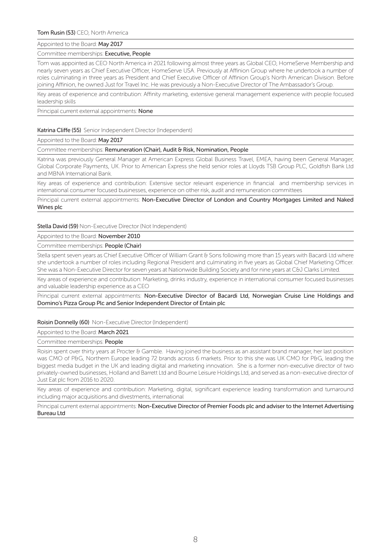Appointed to the Board: May 2017

## Committee memberships: Executive, People

Tom was appointed as CEO North America in 2021 following almost three years as Global CEO, HomeServe Membership and nearly seven years as Chief Executive Officer, HomeServe USA. Previously at Affinion Group where he undertook a number of roles culminating in three years as President and Chief Executive Officer of Affinion Group's North American Division. Before joining Affinion, he owned Just for Travel Inc. He was previously a Non-Executive Director of The Ambassador's Group.

Key areas of experience and contribution: Affinity marketing, extensive general management experience with people focused leadership skills

Principal current external appointments: None

#### Katrina Cliffe (55) Senior Independent Director (Independent)

Appointed to the Board: May 2017

Committee memberships: Remuneration (Chair), Audit & Risk, Nomination, People

Katrina was previously General Manager at American Express Global Business Travel, EMEA, having been General Manager, Global Corporate Payments, UK. Prior to American Express she held senior roles at Lloyds TSB Group PLC, Goldfish Bank Ltd and MBNA International Bank.

Key areas of experience and contribution: Extensive sector relevant experience in financial and membership services in international consumer focused businesses, experience on other risk, audit and remuneration committees

Principal current external appointments: Non-Executive Director of London and Country Mortgages Limited and Naked Wines plc

#### Stella David (59) Non-Executive Director (Not Independent)

#### Appointed to the Board: November 2010

#### Committee memberships: People (Chair)

Stella spent seven years as Chief Executive Officer of William Grant & Sons following more than 15 years with Bacardi Ltd where she undertook a number of roles including Regional President and culminating in five years as Global Chief Marketing Officer. She was a Non-Executive Director for seven years at Nationwide Building Society and for nine years at C&J Clarks Limited.

Key areas of experience and contribution: Marketing, drinks industry, experience in international consumer focused businesses and valuable leadership experience as a CEO

Principal current external appointments: Non-Executive Director of Bacardi Ltd, Norwegian Cruise Line Holdings and Domino's Pizza Group Plc and Senior Independent Director of Entain plc

#### Roisin Donnelly (60) Non-Executive Director (Independent)

Appointed to the Board: March 2021

Committee memberships: People

Roisin spent over thirty years at Procter & Gamble. Having joined the business as an assistant brand manager, her last position was CMO of P&G, Northern Europe leading 72 brands across 6 markets. Prior to this she was UK CMO for P&G, leading the biggest media budget in the UK and leading digital and marketing innovation. She is a former non-executive director of two privately-owned businesses, Holland and Barrett Ltd and Bourne Leisure Holdings Ltd, and served as a non-executive director of Just Eat plc from 2016 to 2020.

Key areas of experience and contribution: Marketing, digital, significant experience leading transformation and turnaround including major acquisitions and divestments, international

Principal current external appointments: Non-Executive Director of Premier Foods plc and adviser to the Internet Advertising Bureau Ltd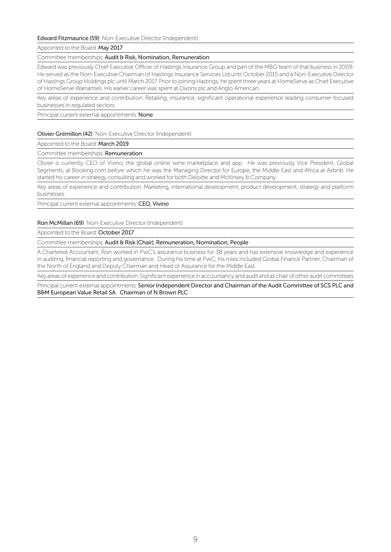#### Edward Fitzmaurice (59) Non-Executive Director (Independent)

Appointed to the Board: May 2017

#### Committee memberships: Audit & Risk, Nomination, Remuneration

Edward was previously Chief Executive Officer of Hastings Insurance Group and part of the MBO team of that business in 2009. He served as the Non-Executive Chairman of Hastings Insurance Services Ltd until October 2015 and a Non-Executive Director of Hastings Group Holdings plc until March 2017. Prior to joining Hastings, he spent three years at HomeServe as Chief Executive of HomeServe Warranties. His earlier career was spent at Dixons plc and Anglo American.

Key areas of experience and contribution: Retailing, insurance, significant operational experience leading consumer focused businesses in regulated sectors

Principal current external appointments: None

## Olivier Grémillon (42) Non-Executive Director (Independent)

### Appointed to the Board: March 2019

#### Committee memberships: Remuneration

Olivier is currently CEO of Vivino, the global online wine marketplace and app. He was previously Vice President, Global Segments, at Booking.com before which he was the Managing Director for Europe, the Middle East and Africa at Airbnb. He started his career in strategy consulting and worked for both Deloitte and McKinsey & Company.

Key areas of experience and contribution: Marketing, international development, product development, strategy and platform businesses

Principal current external appointments: CEO, Vivino

#### Ron McMillan (69) Non-Executive Director (Independent)

## Appointed to the Board: October 2017

Committee memberships: Audit & Risk (Chair), Remuneration, Nomination, People

A Chartered Accountant, Ron worked in PwC's assurance business for 38 years and has extensive knowledge and experience in auditing, financial reporting and governance. During his time at PwC, his roles included Global Finance Partner, Chairman of the North of England and Deputy Chairman and Head of Assurance for the Middle East.

Key areas of experience and contribution: Significant experience in accountancy and audit and as chair of other audit committees

Principal current external appointments: Senior Independent Director and Chairman of the Audit Committee of SCS PLC and B&M European Value Retail SA. Chairman of N Brown PLC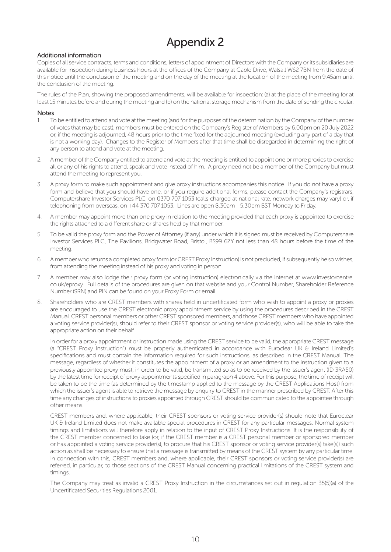## Appendix 2

## Additional information

Copies of all service contracts, terms and conditions, letters of appointment of Directors with the Company or its subsidiaries are available for inspection during business hours at the offices of the Company at Cable Drive, Walsall WS2 7BN from the date of this notice until the conclusion of the meeting and on the day of the meeting at the location of the meeting from 9.45am until the conclusion of the meeting.

The rules of the Plan, showing the proposed amendments, will be available for inspection: (a) at the place of the meeting for at least 15 minutes before and during the meeting and (b) on the national storage mechanism from the date of sending the circular.

## **Notes**

- 1. To be entitled to attend and vote at the meeting (and for the purposes of the determination by the Company of the number of votes that may be cast); members must be entered on the Company's Register of Members by 6.00pm on 20 July 2022 or, if the meeting is adjourned, 48 hours prior to the time fixed for the adjourned meeting (excluding any part of a day that is not a working day). Changes to the Register of Members after that time shall be disregarded in determining the right of any person to attend and vote at the meeting.
- 2. A member of the Company entitled to attend and vote at the meeting is entitled to appoint one or more proxies to exercise all or any of his rights to attend, speak and vote instead of him. A proxy need not be a member of the Company but must attend the meeting to represent you.
- 3. A proxy form to make such appointment and give proxy instructions accompanies this notice. If you do not have a proxy form and believe that you should have one, or if you require additional forms, please contact the Company's registrars, Computershare Investor Services PLC, on 0370 707 1053 (calls charged at national rate, network charges may vary) or, if telephoning from overseas, on +44 370 707 1053. Lines are open 8.30am - 5.30pm BST Monday to Friday.
- 4. A member may appoint more than one proxy in relation to the meeting provided that each proxy is appointed to exercise the rights attached to a different share or shares held by that member.
- 5. To be valid the proxy form and the Power of Attorney (if any) under which it is signed must be received by Computershare Investor Services PLC, The Pavilions, Bridgwater Road, Bristol, BS99 6ZY not less than 48 hours before the time of the meeting.
- 6. A member who returns a completed proxy form (or CREST Proxy Instruction) is not precluded, if subsequently he so wishes, from attending the meeting instead of his proxy and voting in person.
- 7. A member may also lodge their proxy form (or voting instruction) electronically via the internet at www.investorcentre. co.uk/eproxy. Full details of the procedures are given on that website and your Control Number, Shareholder Reference Number (SRN) and PIN can be found on your Proxy Form or email.
- 8. Shareholders who are CREST members with shares held in uncertificated form who wish to appoint a proxy or proxies are encouraged to use the CREST electronic proxy appointment service by using the procedures described in the CREST Manual. CREST personal members or other CREST sponsored members, and those CREST members who have appointed a voting service provider(s), should refer to their CREST sponsor or voting service provider(s), who will be able to take the appropriate action on their behalf.

In order for a proxy appointment or instruction made using the CREST service to be valid, the appropriate CREST message (a "CREST Proxy Instruction") must be properly authenticated in accordance with Euroclear UK & Ireland Limited's specifications and must contain the information required for such instructions, as described in the CREST Manual. The message, regardless of whether it constitutes the appointment of a proxy or an amendment to the instruction given to a previously appointed proxy must, in order to be valid, be transmitted so as to be received by the issuer's agent (ID 3RA50) by the latest time for receipt of proxy appointments specified in paragraph 4 above. For this purpose, the time of receipt will be taken to be the time (as determined by the timestamp applied to the message by the CREST Applications Host) from which the issuer's agent is able to retrieve the message by enquiry to CREST in the manner prescribed by CREST. After this time any changes of instructions to proxies appointed through CREST should be communicated to the appointee through other means.

CREST members and, where applicable, their CREST sponsors or voting service provider(s) should note that Euroclear UK & Ireland Limited does not make available special procedures in CREST for any particular messages. Normal system timings and limitations will therefore apply in relation to the input of CREST Proxy Instructions. It is the responsibility of the CREST member concerned to take (or, if the CREST member is a CREST personal member or sponsored member or has appointed a voting service provider(s), to procure that his CREST sponsor or voting service provider(s) take(s)) such action as shall be necessary to ensure that a message is transmitted by means of the CREST system by any particular time. In connection with this, CREST members and, where applicable, their CREST sponsors or voting service provider(s) are referred, in particular, to those sections of the CREST Manual concerning practical limitations of the CREST system and timings.

The Company may treat as invalid a CREST Proxy Instruction in the circumstances set out in regulation 35(5)(a) of the Uncertificated Securities Regulations 2001.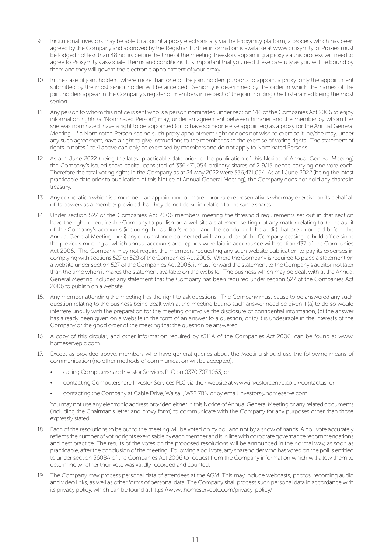- 9. Institutional investors may be able to appoint a proxy electronically via the Proxymity platform, a process which has been agreed by the Company and approved by the Registrar. Further information is available at www.proxymity.io. Proxies must be lodged not less than 48 hours before the time of the meeting. Investors appointing a proxy via this process will need to agree to Proxymity's associated terms and conditions. It is important that you read these carefully as you will be bound by them and they will govern the electronic appointment of your proxy.
- 10. In the case of joint holders, where more than one of the joint holders purports to appoint a proxy, only the appointment submitted by the most senior holder will be accepted. Seniority is determined by the order in which the names of the joint holders appear in the Company's register of members in respect of the joint holding (the first-named being the most senior).
- 11. Any person to whom this notice is sent who is a person nominated under section 146 of the Companies Act 2006 to enjoy information rights (a "Nominated Person") may, under an agreement between him/her and the member by whom he/ she was nominated, have a right to be appointed (or to have someone else appointed) as a proxy for the Annual General Meeting. If a Nominated Person has no such proxy appointment right or does not wish to exercise it, he/she may, under any such agreement, have a right to give instructions to the member as to the exercise of voting rights. The statement of rights in notes 1 to 4 above can only be exercised by members and do not apply to Nominated Persons.
- 12. As at 1 June 2022 (being the latest practicable date prior to the publication of this Notice of Annual General Meeting) the Company's issued share capital consisted of 336,471,054 ordinary shares of 2 9/13 pence carrying one vote each. Therefore the total voting rights in the Company as at 24 May 2022 were 336,471,054. As at 1 June 2022 (being the latest practicable date prior to publication of this Notice of Annual General Meeting), the Company does not hold any shares in treasury.
- 13. Any corporation which is a member can appoint one or more corporate representatives who may exercise on its behalf all of its powers as a member provided that they do not do so in relation to the same shares.
- 14. Under section 527 of the Companies Act 2006 members meeting the threshold requirements set out in that section have the right to require the Company to publish on a website a statement setting out any matter relating to: (i) the audit of the Company's accounts (including the auditor's report and the conduct of the audit) that are to be laid before the Annual General Meeting; or (ii) any circumstance connected with an auditor of the Company ceasing to hold office since the previous meeting at which annual accounts and reports were laid in accordance with section 437 of the Companies Act 2006. The Company may not require the members requesting any such website publication to pay its expenses in complying with sections 527 or 528 of the Companies Act 2006. Where the Company is required to place a statement on a website under section 527 of the Companies Act 2006, it must forward the statement to the Company's auditor not later than the time when it makes the statement available on the website. The business which may be dealt with at the Annual General Meeting includes any statement that the Company has been required under section 527 of the Companies Act 2006 to publish on a website.
- 15. Any member attending the meeting has the right to ask questions. The Company must cause to be answered any such question relating to the business being dealt with at the meeting but no such answer need be given if (a) to do so would interfere unduly with the preparation for the meeting or involve the disclosure of confidential information, (b) the answer has already been given on a website in the form of an answer to a question, or (c) it is undesirable in the interests of the Company or the good order of the meeting that the question be answered.
- 16. A copy of this circular, and other information required by s311A of the Companies Act 2006, can be found at www. homeserveplc.com.
- 17. Except as provided above, members who have general queries about the Meeting should use the following means of communication (no other methods of communication will be accepted):
	- calling Computershare Investor Services PLC on 0370 707 1053; or
	- contacting Computershare Investor Services PLC via their website at www.investorcentre.co.uk/contactus; or
	- contacting the Company at Cable Drive, Walsall, WS2 7BN or by email investors@homeserve.com

You may not use any electronic address provided either in this Notice of Annual General Meeting or any related documents (including the Chairman's letter and proxy form) to communicate with the Company for any purposes other than those expressly stated.

- 18. Each of the resolutions to be put to the meeting will be voted on by poll and not by a show of hands. A poll vote accurately reflects the number of voting rights exercisable by each member and is in line with corporate governance recommendations and best practice. The results of the votes on the proposed resolutions will be announced in the normal way, as soon as practicable, after the conclusion of the meeting. Following a poll vote, any shareholder who has voted on the poll is entitled to under section 360BA of the Companies Act 2006 to request from the Company information which will allow them to determine whether their vote was validly recorded and counted.
- 19. The Company may process personal data of attendees at the AGM. This may include webcasts, photos, recording audio and video links, as well as other forms of personal data. The Company shall process such personal data in accordance with its privacy policy, which can be found at https://www.homeserveplc.com/privacy-policy/